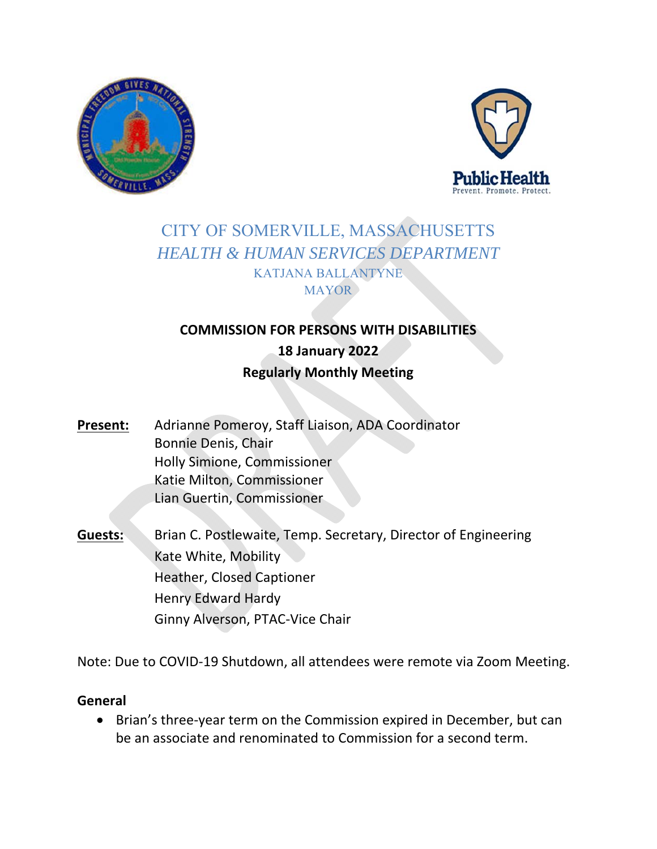



# CITY OF SOMERVILLE, MASSACHUSETTS *HEALTH & HUMAN SERVICES DEPARTMENT*  KATJANA BALLANTYNE **MAYOR**

# **COMMISSION FOR PERSONS WITH DISABILITIES 18 January 2022 Regularly Monthly Meeting**

- Present: Adrianne Pomeroy, Staff Liaison, ADA Coordinator Bonnie Denis, Chair Holly Simione, Commissioner Katie Milton, Commissioner Lian Guertin, Commissioner
- **Guests:** Brian C. Postlewaite, Temp. Secretary, Director of Engineering Kate White, Mobility Heather, Closed Captioner Henry Edward Hardy Ginny Alverson, PTAC‐Vice Chair

Note: Due to COVID‐19 Shutdown, all attendees were remote via Zoom Meeting.

### **General**

● Brian's three-year term on the Commission expired in December, but can be an associate and renominated to Commission for a second term.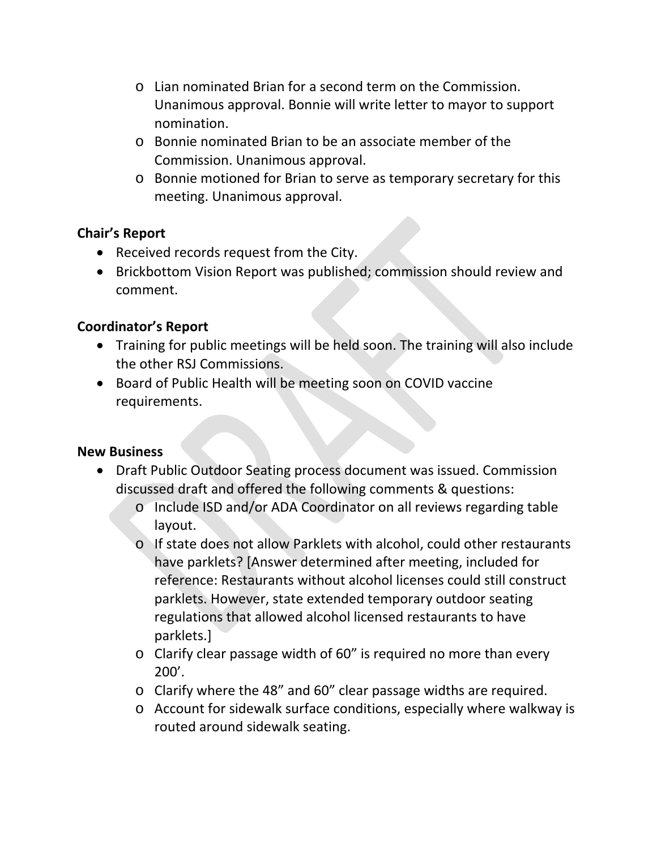- o Lian nominated Brian for a second term on the Commission. Unanimous approval. Bonnie will write letter to mayor to support nomination.
- o Bonnie nominated Brian to be an associate member of the Commission. Unanimous approval.
- o Bonnie motioned for Brian to serve as temporary secretary for this meeting. Unanimous approval.

### **Chair's Report**

- Received records request from the City.
- Brickbottom Vision Report was published; commission should review and comment.

## **Coordinator's Report**

- Training for public meetings will be held soon. The training will also include the other RSJ Commissions.
- Board of Public Health will be meeting soon on COVID vaccine requirements.

### **New Business**

- Draft Public Outdoor Seating process document was issued. Commission discussed draft and offered the following comments & questions:
	- o Include ISD and/or ADA Coordinator on all reviews regarding table layout.
	- o If state does not allow Parklets with alcohol, could other restaurants have parklets? [Answer determined after meeting, included for reference: Restaurants without alcohol licenses could still construct parklets. However, state extended temporary outdoor seating regulations that allowed alcohol licensed restaurants to have parklets.]
	- o Clarify clear passage width of 60" is required no more than every 200'.
	- o Clarify where the 48" and 60" clear passage widths are required.
	- o Account for sidewalk surface conditions, especially where walkway is routed around sidewalk seating.